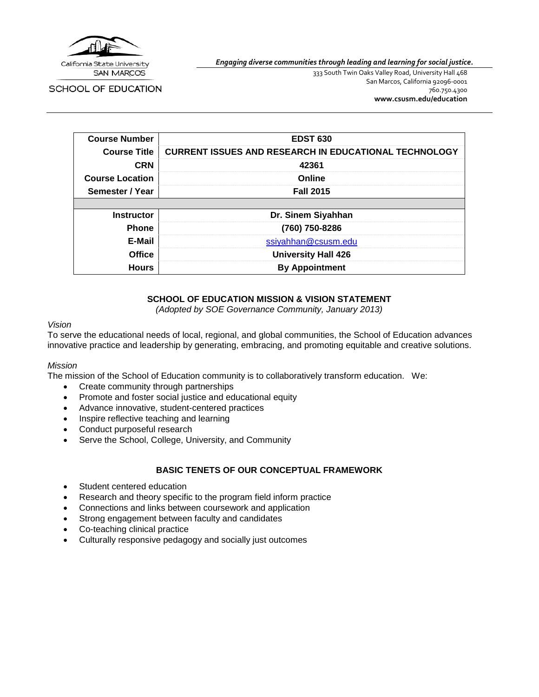

SCHOOL OF EDUCATION

*Engaging diverse communities through leading and learning for social justice.*

333 South Twin Oaks Valley Road, University Hall 468 San Marcos, California 92096-0001 760.750.4300 **[www.csusm.edu/education](http://www.csusm.edu/education)**

| <b>Course Number</b>   | <b>EDST 630</b>                                              |
|------------------------|--------------------------------------------------------------|
| <b>Course Title</b>    | <b>CURRENT ISSUES AND RESEARCH IN EDUCATIONAL TECHNOLOGY</b> |
| <b>CRN</b>             | 42361                                                        |
| <b>Course Location</b> | Online                                                       |
| Semester / Year        | <b>Fall 2015</b>                                             |
|                        |                                                              |
| <b>Instructor</b>      | Dr. Sinem Siyahhan                                           |
| <b>Phone</b>           | (760) 750-8286                                               |
| E-Mail                 | ssiyahhan@csusm.edu                                          |
| <b>Office</b>          | <b>University Hall 426</b>                                   |
| <b>Hours</b>           | <b>By Appointment</b>                                        |

# **SCHOOL OF EDUCATION MISSION & VISION STATEMENT**

*(Adopted by SOE Governance Community, January 2013)*

#### *Vision*

To serve the educational needs of local, regional, and global communities, the School of Education advances innovative practice and leadership by generating, embracing, and promoting equitable and creative solutions.

#### *Mission*

The mission of the School of Education community is to collaboratively transform education. We:

- Create community through partnerships
- Promote and foster social justice and educational equity
- Advance innovative, student-centered practices
- Inspire reflective teaching and learning
- Conduct purposeful research
- Serve the School, College, University, and Community

#### **BASIC TENETS OF OUR CONCEPTUAL FRAMEWORK**

- Student centered education
- Research and theory specific to the program field inform practice
- Connections and links between coursework and application
- Strong engagement between faculty and candidates
- Co-teaching clinical practice
- Culturally responsive pedagogy and socially just outcomes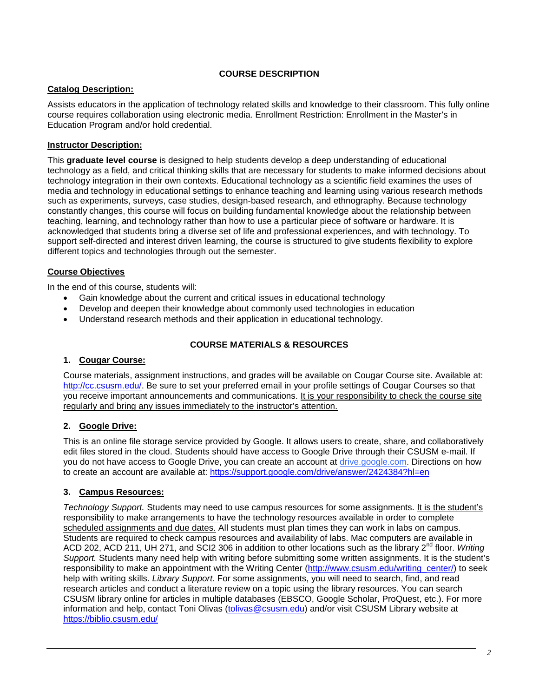# **COURSE DESCRIPTION**

# **Catalog Description:**

Assists educators in the application of technology related skills and knowledge to their classroom. This fully online course requires collaboration using electronic media. Enrollment Restriction: Enrollment in the Master's in Education Program and/or hold credential.

# **Instructor Description:**

This **graduate level course** is designed to help students develop a deep understanding of educational technology as a field, and critical thinking skills that are necessary for students to make informed decisions about technology integration in their own contexts. Educational technology as a scientific field examines the uses of media and technology in educational settings to enhance teaching and learning using various research methods such as experiments, surveys, case studies, design-based research, and ethnography. Because technology constantly changes, this course will focus on building fundamental knowledge about the relationship between teaching, learning, and technology rather than how to use a particular piece of software or hardware. It is acknowledged that students bring a diverse set of life and professional experiences, and with technology. To support self-directed and interest driven learning, the course is structured to give students flexibility to explore different topics and technologies through out the semester.

# **Course Objectives**

In the end of this course, students will:

- Gain knowledge about the current and critical issues in educational technology
- Develop and deepen their knowledge about commonly used technologies in education
- Understand research methods and their application in educational technology.

# **COURSE MATERIALS & RESOURCES**

### **1. Cougar Course:**

Course materials, assignment instructions, and grades will be available on Cougar Course site. Available at: [http://cc.csusm.edu/.](http://cc.csusm.edu/) Be sure to set your preferred email in your profile settings of Cougar Courses so that you receive important announcements and communications. It is your responsibility to check the course site regularly and bring any issues immediately to the instructor's attention.

# **2. Google Drive:**

This is an online file storage service provided by Google. It allows users to create, share, and collaboratively edit files stored in the cloud. Students should have access to Google Drive through their CSUSM e-mail. If you do not have access to Google Drive, you can create an account at drive.google.com. Directions on how to create an account are available at:<https://support.google.com/drive/answer/2424384?hl=en>

# **3. Campus Resources:**

*Technology Support.* Students may need to use campus resources for some assignments. It is the student's responsibility to make arrangements to have the technology resources available in order to complete scheduled assignments and due dates. All students must plan times they can work in labs on campus. Students are required to check campus resources and availability of labs. Mac computers are available in ACD 202, ACD 211, UH 271, and SCI2 306 in addition to other locations such as the library 2nd floor. *Writing Support.* Students many need help with writing before submitting some written assignments. It is the student's responsibility to make an appointment with the Writing Center [\(http://www.csusm.edu/writing\\_center/\)](http://www.csusm.edu/writing_center/) to seek help with writing skills. *Library Support*. For some assignments, you will need to search, find, and read research articles and conduct a literature review on a topic using the library resources. You can search CSUSM library online for articles in multiple databases (EBSCO, Google Scholar, ProQuest, etc.). For more information and help, contact Toni Olivas (tolivas @csusm.edu) and/or visit CSUSM Library website at <https://biblio.csusm.edu/>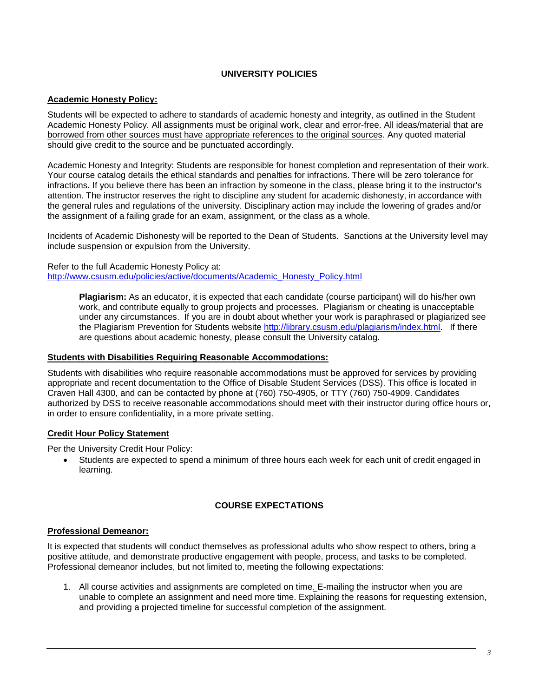## **UNIVERSITY POLICIES**

### **Academic Honesty Policy:**

Students will be expected to adhere to standards of academic honesty and integrity, as outlined in the Student Academic Honesty Policy. All assignments must be original work, clear and error-free. All ideas/material that are borrowed from other sources must have appropriate references to the original sources. Any quoted material should give credit to the source and be punctuated accordingly.

Academic Honesty and Integrity: Students are responsible for honest completion and representation of their work. Your course catalog details the ethical standards and penalties for infractions. There will be zero tolerance for infractions. If you believe there has been an infraction by someone in the class, please bring it to the instructor's attention. The instructor reserves the right to discipline any student for academic dishonesty, in accordance with the general rules and regulations of the university. Disciplinary action may include the lowering of grades and/or the assignment of a failing grade for an exam, assignment, or the class as a whole.

Incidents of Academic Dishonesty will be reported to the Dean of Students. Sanctions at the University level may include suspension or expulsion from the University.

Refer to the full Academic Honesty Policy at: [http://www.csusm.edu/policies/active/documents/Academic\\_Honesty\\_Policy.html](http://www.csusm.edu/policies/active/documents/Academic_Honesty_Policy.html)

> **Plagiarism:** As an educator, it is expected that each candidate (course participant) will do his/her own work, and contribute equally to group projects and processes. Plagiarism or cheating is unacceptable under any circumstances. If you are in doubt about whether your work is paraphrased or plagiarized see the Plagiarism Prevention for Students website [http://library.csusm.edu/plagiarism/index.html.](http://library.csusm.edu/plagiarism/index.html) If there are questions about academic honesty, please consult the University catalog.

#### **Students with Disabilities Requiring Reasonable Accommodations:**

Students with disabilities who require reasonable accommodations must be approved for services by providing appropriate and recent documentation to the Office of Disable Student Services (DSS). This office is located in Craven Hall 4300, and can be contacted by phone at (760) 750-4905, or TTY (760) 750-4909. Candidates authorized by DSS to receive reasonable accommodations should meet with their instructor during office hours or, in order to ensure confidentiality, in a more private setting.

#### **Credit Hour Policy Statement**

Per the University Credit Hour Policy:

• Students are expected to spend a minimum of three hours each week for each unit of credit engaged in learning.

#### **COURSE EXPECTATIONS**

#### **Professional Demeanor:**

It is expected that students will conduct themselves as professional adults who show respect to others, bring a positive attitude, and demonstrate productive engagement with people, process, and tasks to be completed. Professional demeanor includes, but not limited to, meeting the following expectations:

1. All course activities and assignments are completed on time. E-mailing the instructor when you are unable to complete an assignment and need more time. Explaining the reasons for requesting extension, and providing a projected timeline for successful completion of the assignment.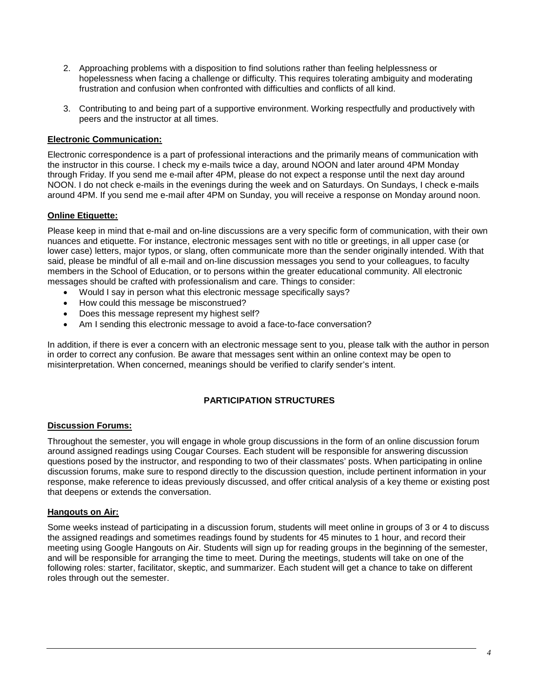- 2. Approaching problems with a disposition to find solutions rather than feeling helplessness or hopelessness when facing a challenge or difficulty. This requires tolerating ambiguity and moderating frustration and confusion when confronted with difficulties and conflicts of all kind.
- 3. Contributing to and being part of a supportive environment. Working respectfully and productively with peers and the instructor at all times.

## **Electronic Communication:**

Electronic correspondence is a part of professional interactions and the primarily means of communication with the instructor in this course. I check my e-mails twice a day, around NOON and later around 4PM Monday through Friday. If you send me e-mail after 4PM, please do not expect a response until the next day around NOON. I do not check e-mails in the evenings during the week and on Saturdays. On Sundays, I check e-mails around 4PM. If you send me e-mail after 4PM on Sunday, you will receive a response on Monday around noon.

# **Online Etiquette:**

Please keep in mind that e-mail and on-line discussions are a very specific form of communication, with their own nuances and etiquette. For instance, electronic messages sent with no title or greetings, in all upper case (or lower case) letters, major typos, or slang, often communicate more than the sender originally intended. With that said, please be mindful of all e-mail and on-line discussion messages you send to your colleagues, to faculty members in the School of Education, or to persons within the greater educational community. All electronic messages should be crafted with professionalism and care. Things to consider:

- Would I say in person what this electronic message specifically says?
- How could this message be misconstrued?
- Does this message represent my highest self?
- Am I sending this electronic message to avoid a face-to-face conversation?

In addition, if there is ever a concern with an electronic message sent to you, please talk with the author in person in order to correct any confusion. Be aware that messages sent within an online context may be open to misinterpretation. When concerned, meanings should be verified to clarify sender's intent.

### **PARTICIPATION STRUCTURES**

### **Discussion Forums:**

Throughout the semester, you will engage in whole group discussions in the form of an online discussion forum around assigned readings using Cougar Courses. Each student will be responsible for answering discussion questions posed by the instructor, and responding to two of their classmates' posts. When participating in online discussion forums, make sure to respond directly to the discussion question, include pertinent information in your response, make reference to ideas previously discussed, and offer critical analysis of a key theme or existing post that deepens or extends the conversation.

### **Hangouts on Air:**

Some weeks instead of participating in a discussion forum, students will meet online in groups of 3 or 4 to discuss the assigned readings and sometimes readings found by students for 45 minutes to 1 hour, and record their meeting using Google Hangouts on Air. Students will sign up for reading groups in the beginning of the semester, and will be responsible for arranging the time to meet. During the meetings, students will take on one of the following roles: starter, facilitator, skeptic, and summarizer. Each student will get a chance to take on different roles through out the semester.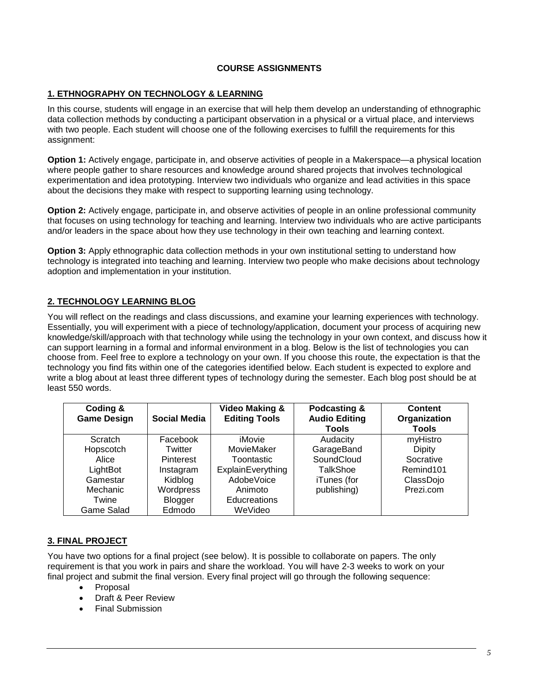# **COURSE ASSIGNMENTS**

## **1. ETHNOGRAPHY ON TECHNOLOGY & LEARNING**

In this course, students will engage in an exercise that will help them develop an understanding of ethnographic data collection methods by conducting a participant observation in a physical or a virtual place, and interviews with two people. Each student will choose one of the following exercises to fulfill the requirements for this assignment:

**Option 1:** Actively engage, participate in, and observe activities of people in a Makerspace—a physical location where people gather to share resources and knowledge around shared projects that involves technological experimentation and idea prototyping. Interview two individuals who organize and lead activities in this space about the decisions they make with respect to supporting learning using technology.

**Option 2:** Actively engage, participate in, and observe activities of people in an online professional community that focuses on using technology for teaching and learning. Interview two individuals who are active participants and/or leaders in the space about how they use technology in their own teaching and learning context.

**Option 3:** Apply ethnographic data collection methods in your own institutional setting to understand how technology is integrated into teaching and learning. Interview two people who make decisions about technology adoption and implementation in your institution.

# **2. TECHNOLOGY LEARNING BLOG**

You will reflect on the readings and class discussions, and examine your learning experiences with technology. Essentially, you will experiment with a piece of technology/application, document your process of acquiring new knowledge/skill/approach with that technology while using the technology in your own context, and discuss how it can support learning in a formal and informal environment in a blog. Below is the list of technologies you can choose from. Feel free to explore a technology on your own. If you choose this route, the expectation is that the technology you find fits within one of the categories identified below. Each student is expected to explore and write a blog about at least three different types of technology during the semester. Each blog post should be at least 550 words.

| Coding &<br><b>Game Design</b> | Social Media     | <b>Video Making &amp;</b><br><b>Editing Tools</b> | Podcasting &<br><b>Audio Editing</b><br>Tools | <b>Content</b><br>Organization<br>Tools |
|--------------------------------|------------------|---------------------------------------------------|-----------------------------------------------|-----------------------------------------|
| Scratch                        | Facebook         | iMovie                                            | Audacity                                      | myHistro                                |
| Hopscotch                      | Twitter          | MovieMaker                                        | GarageBand                                    | <b>Dipity</b>                           |
| Alice                          | <b>Pinterest</b> | Toontastic                                        | SoundCloud                                    | Socrative                               |
| LightBot                       | Instagram        | ExplainEverything                                 | TalkShoe                                      | Remind101                               |
| Gamestar                       | Kidblog          | AdobeVoice                                        | iTunes (for                                   | ClassDojo                               |
| Mechanic                       | Wordpress        | Animoto                                           | publishing)                                   | Prezi.com                               |
| Twine                          | <b>Blogger</b>   | Educreations                                      |                                               |                                         |
| Game Salad                     | Edmodo           | WeVideo                                           |                                               |                                         |

### **3. FINAL PROJECT**

You have two options for a final project (see below). It is possible to collaborate on papers. The only requirement is that you work in pairs and share the workload. You will have 2-3 weeks to work on your final project and submit the final version. Every final project will go through the following sequence:

- Proposal
- Draft & Peer Review
- Final Submission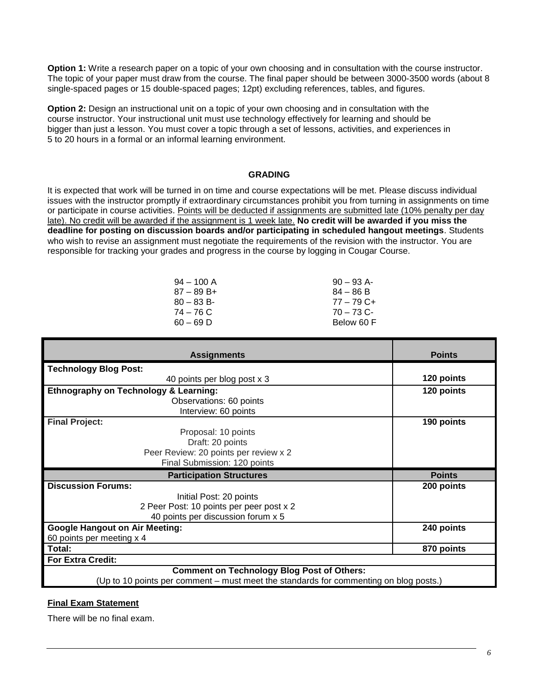**Option 1:** Write a research paper on a topic of your own choosing and in consultation with the course instructor. The topic of your paper must draw from the course. The final paper should be between 3000-3500 words (about 8 single-spaced pages or 15 double-spaced pages; 12pt) excluding references, tables, and figures.

**Option 2:** Design an instructional unit on a topic of your own choosing and in consultation with the course instructor. Your instructional unit must use technology effectively for learning and should be bigger than just a lesson. You must cover a topic through a set of lessons, activities, and experiences in 5 to 20 hours in a formal or an informal learning environment.

### **GRADING**

It is expected that work will be turned in on time and course expectations will be met. Please discuss individual issues with the instructor promptly if extraordinary circumstances prohibit you from turning in assignments on time or participate in course activities. Points will be deducted if assignments are submitted late (10% penalty per day late). No credit will be awarded if the assignment is 1 week late. **No credit will be awarded if you miss the deadline for posting on discussion boards and/or participating in scheduled hangout meetings**. Students who wish to revise an assignment must negotiate the requirements of the revision with the instructor. You are responsible for tracking your grades and progress in the course by logging in Cougar Course.

| $94 - 100$ A  | $90 - 93$ A- |
|---------------|--------------|
| $87 - 89 B +$ | $84 - 86 B$  |
| $80 - 83 B$   | $77 - 79$ C+ |
| 74 – 76 C     | $70 - 73$ C- |
| $60 - 69$ D   | Below 60 F   |
|               |              |

| <b>Assignments</b>                                | <b>Points</b> |
|---------------------------------------------------|---------------|
| <b>Technology Blog Post:</b>                      |               |
| 40 points per blog post x 3                       | 120 points    |
| <b>Ethnography on Technology &amp; Learning:</b>  | 120 points    |
| Observations: 60 points                           |               |
| Interview: 60 points                              |               |
| <b>Final Project:</b>                             | 190 points    |
| Proposal: 10 points                               |               |
| Draft: 20 points                                  |               |
| Peer Review: 20 points per review x 2             |               |
| Final Submission: 120 points                      |               |
| <b>Participation Structures</b>                   | <b>Points</b> |
| <b>Discussion Forums:</b>                         | 200 points    |
|                                                   |               |
| Initial Post: 20 points                           |               |
| 2 Peer Post: 10 points per peer post x 2          |               |
| 40 points per discussion forum x 5                |               |
| <b>Google Hangout on Air Meeting:</b>             | 240 points    |
| 60 points per meeting x 4                         |               |
| Total:                                            | 870 points    |
| <b>For Extra Credit:</b>                          |               |
| <b>Comment on Technology Blog Post of Others:</b> |               |

### **Final Exam Statement**

There will be no final exam.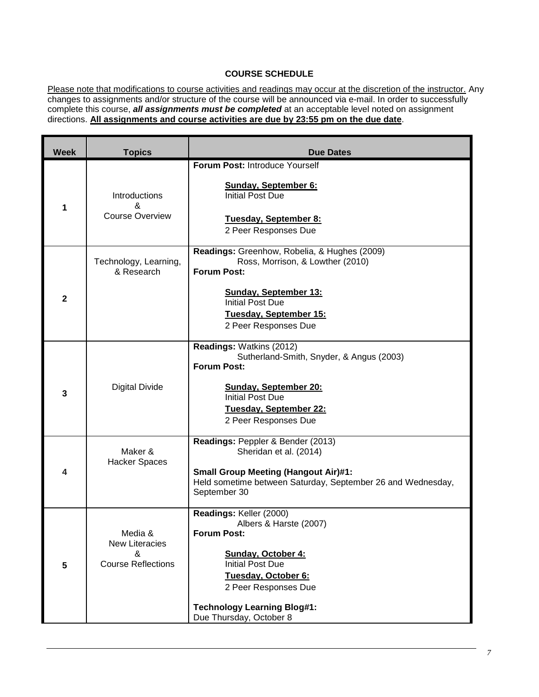# **COURSE SCHEDULE**

Please note that modifications to course activities and readings may occur at the discretion of the instructor. Any changes to assignments and/or structure of the course will be announced via e-mail. In order to successfully complete this course, *all assignments must be completed* at an acceptable level noted on assignment directions. **All assignments and course activities are due by 23:55 pm on the due date**.

| <b>Week</b>  | <b>Topics</b>                                                      | <b>Due Dates</b>                                                                                                                                                                                                                                |
|--------------|--------------------------------------------------------------------|-------------------------------------------------------------------------------------------------------------------------------------------------------------------------------------------------------------------------------------------------|
|              |                                                                    | Forum Post: Introduce Yourself                                                                                                                                                                                                                  |
| 1            | <b>Introductions</b><br>&<br><b>Course Overview</b>                | <b>Sunday, September 6:</b><br><b>Initial Post Due</b><br>Tuesday, September 8:<br>2 Peer Responses Due                                                                                                                                         |
| $\mathbf{2}$ | Technology, Learning,<br>& Research                                | Readings: Greenhow, Robelia, & Hughes (2009)<br>Ross, Morrison, & Lowther (2010)<br><b>Forum Post:</b><br><b>Sunday, September 13:</b><br><b>Initial Post Due</b><br>Tuesday, September 15:<br>2 Peer Responses Due                             |
| 3            | <b>Digital Divide</b>                                              | Readings: Watkins (2012)<br>Sutherland-Smith, Snyder, & Angus (2003)<br><b>Forum Post:</b><br><b>Sunday, September 20:</b><br><b>Initial Post Due</b><br>Tuesday, September 22:<br>2 Peer Responses Due                                         |
| 4            | Maker &<br>Hacker Spaces                                           | Readings: Peppler & Bender (2013)<br>Sheridan et al. (2014)<br><b>Small Group Meeting (Hangout Air)#1:</b><br>Held sometime between Saturday, September 26 and Wednesday,<br>September 30                                                       |
| 5            | Media &<br><b>New Literacies</b><br>&<br><b>Course Reflections</b> | Readings: Keller (2000)<br>Albers & Harste (2007)<br><b>Forum Post:</b><br><b>Sunday, October 4:</b><br><b>Initial Post Due</b><br>Tuesday, October 6:<br>2 Peer Responses Due<br><b>Technology Learning Blog#1:</b><br>Due Thursday, October 8 |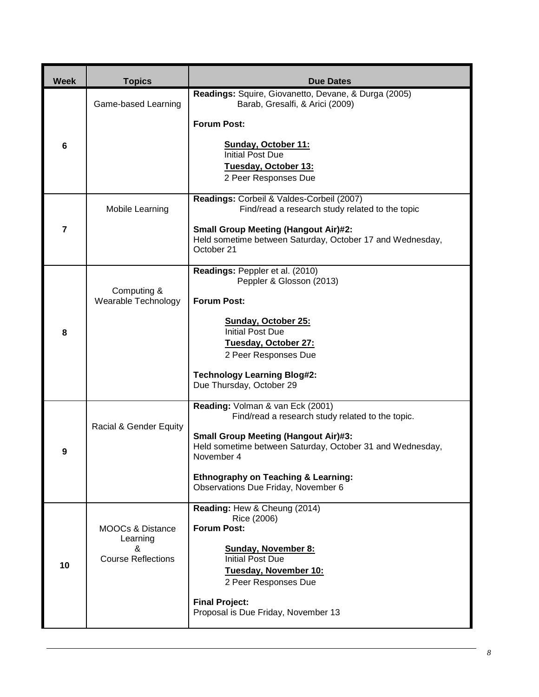| <b>Week</b> | <b>Topics</b>                                | <b>Due Dates</b>                                                                                                       |
|-------------|----------------------------------------------|------------------------------------------------------------------------------------------------------------------------|
|             | Game-based Learning                          | Readings: Squire, Giovanetto, Devane, & Durga (2005)<br>Barab, Gresalfi, & Arici (2009)                                |
|             |                                              | <b>Forum Post:</b>                                                                                                     |
| 6           |                                              | <b>Sunday, October 11:</b><br><b>Initial Post Due</b>                                                                  |
|             |                                              | Tuesday, October 13:<br>2 Peer Responses Due                                                                           |
|             |                                              | Readings: Corbeil & Valdes-Corbeil (2007)                                                                              |
|             | Mobile Learning                              | Find/read a research study related to the topic                                                                        |
| 7           |                                              | <b>Small Group Meeting (Hangout Air)#2:</b><br>Held sometime between Saturday, October 17 and Wednesday,<br>October 21 |
|             |                                              | Readings: Peppler et al. (2010)<br>Peppler & Glosson (2013)                                                            |
|             | Computing &<br>Wearable Technology           | <b>Forum Post:</b>                                                                                                     |
| 8           |                                              | <b>Sunday, October 25:</b><br><b>Initial Post Due</b>                                                                  |
|             |                                              | Tuesday, October 27:<br>2 Peer Responses Due                                                                           |
|             |                                              | <b>Technology Learning Blog#2:</b><br>Due Thursday, October 29                                                         |
|             |                                              | Reading: Volman & van Eck (2001)<br>Find/read a research study related to the topic.                                   |
| 9           | Racial & Gender Equity                       | <b>Small Group Meeting (Hangout Air)#3:</b><br>Held sometime between Saturday, October 31 and Wednesday,<br>November 4 |
|             |                                              | <b>Ethnography on Teaching &amp; Learning:</b><br>Observations Due Friday, November 6                                  |
|             |                                              | Reading: Hew & Cheung (2014)<br>Rice (2006)                                                                            |
| 10          | <b>MOOCs &amp; Distance</b><br>Learning<br>& | <b>Forum Post:</b><br><b>Sunday, November 8:</b>                                                                       |
|             | <b>Course Reflections</b>                    | <b>Initial Post Due</b><br>Tuesday, November 10:                                                                       |
|             |                                              | 2 Peer Responses Due                                                                                                   |
|             |                                              | <b>Final Project:</b><br>Proposal is Due Friday, November 13                                                           |